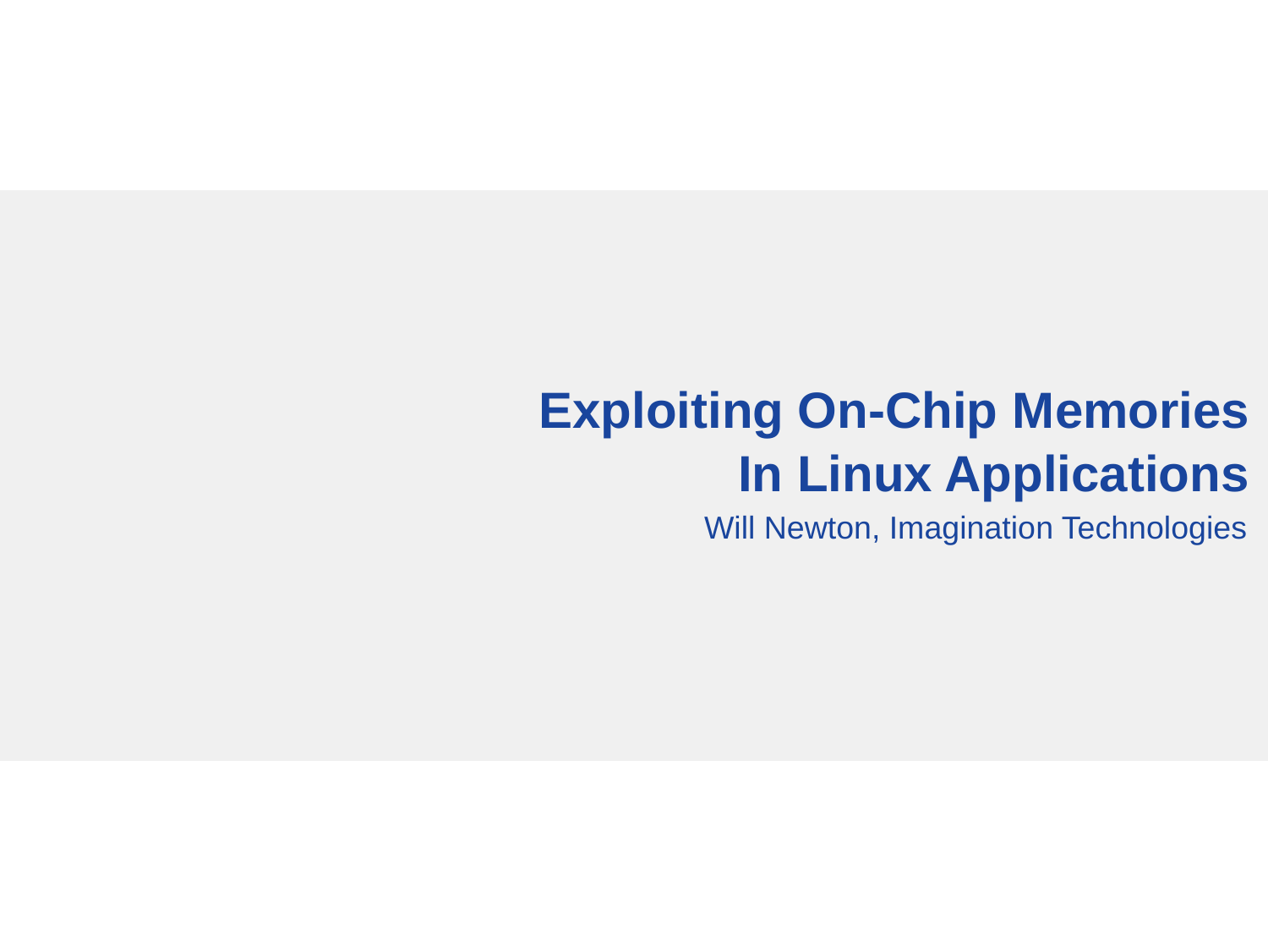# **Exploiting On-Chip Memories In Linux Applications**

Will Newton, Imagination Technologies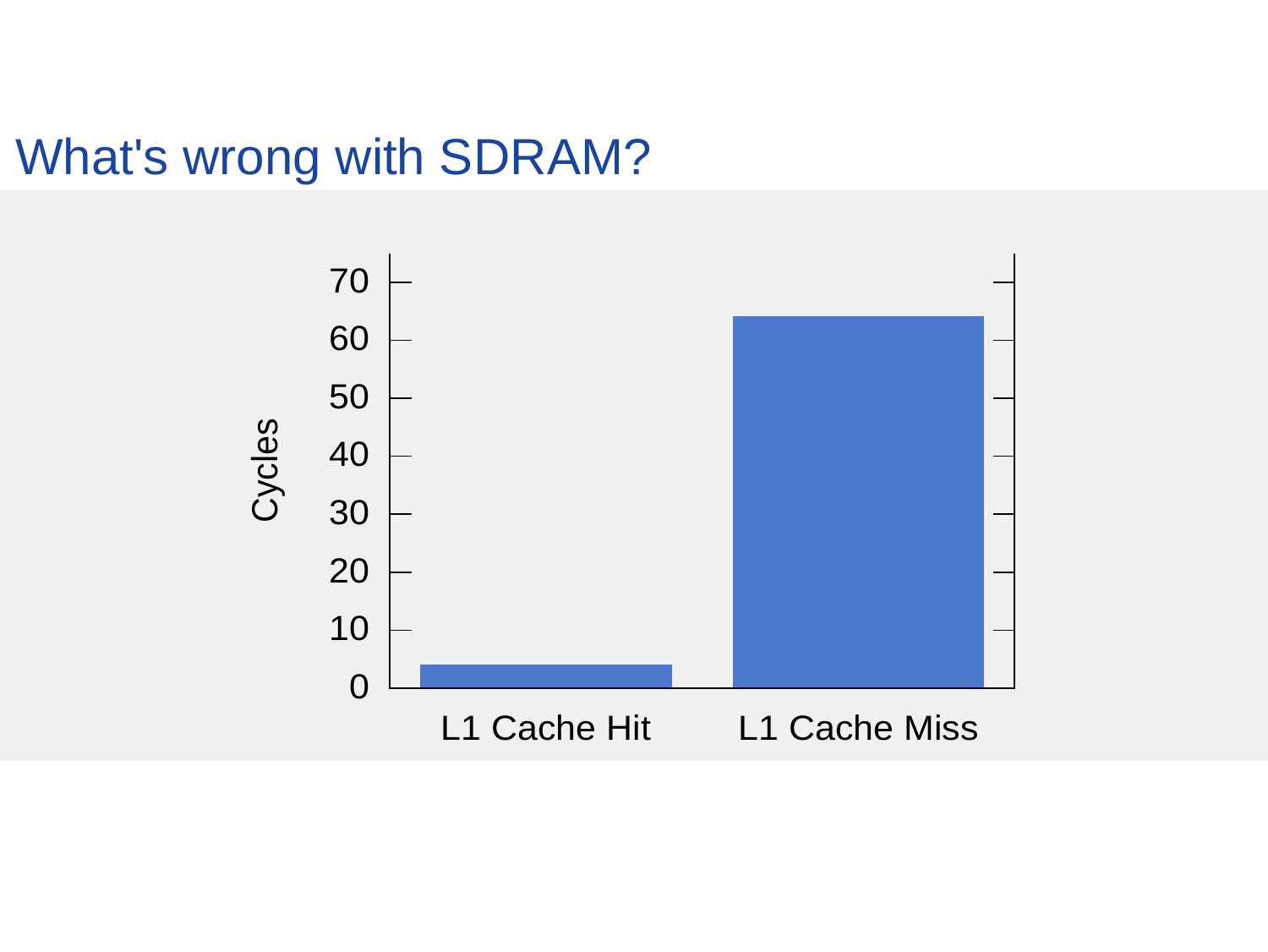### What's wrong with SDRAM?

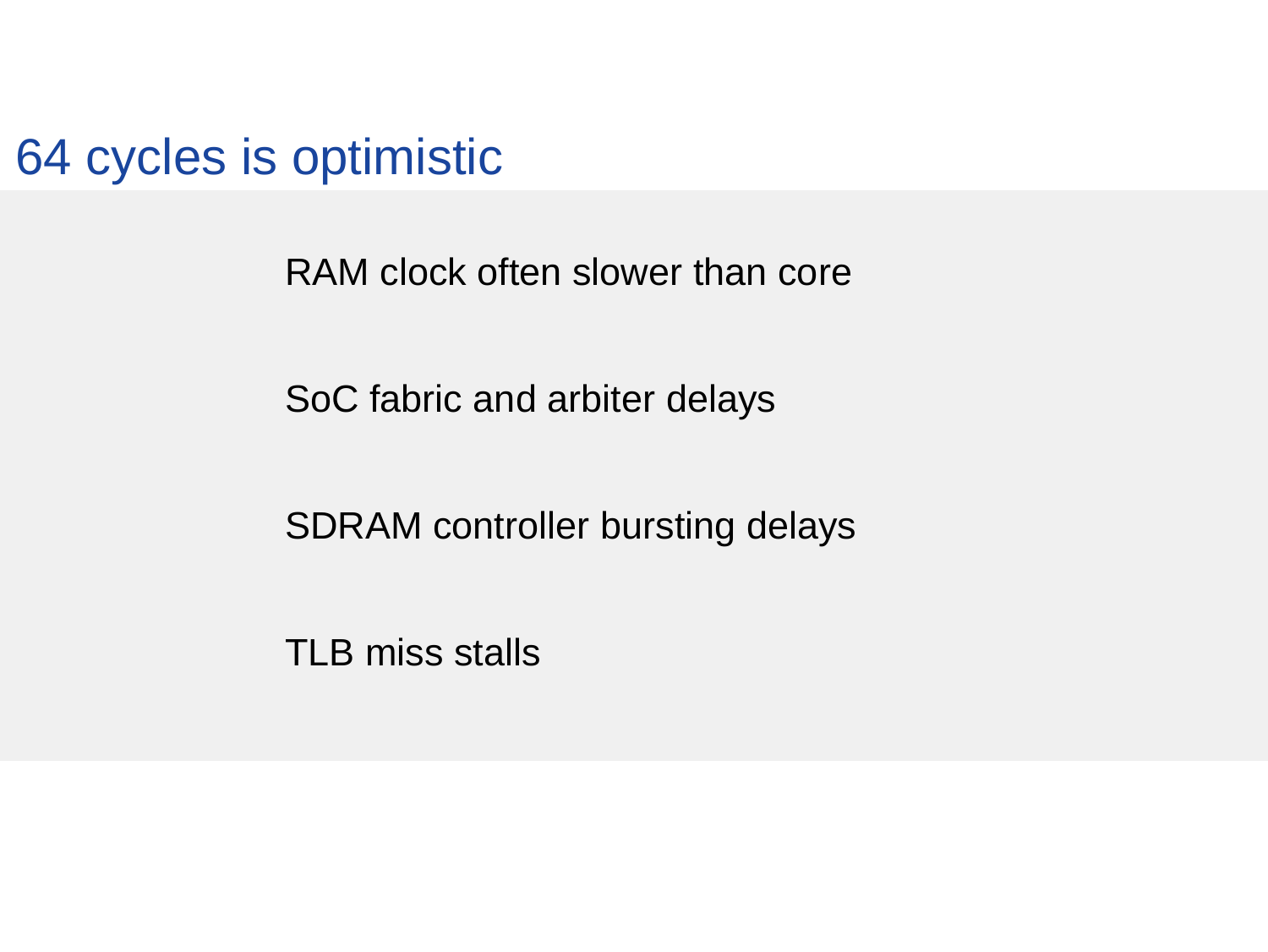64 cycles is optimistic

RAM clock often slower than core

SoC fabric and arbiter delays

SDRAM controller bursting delays

TLB miss stalls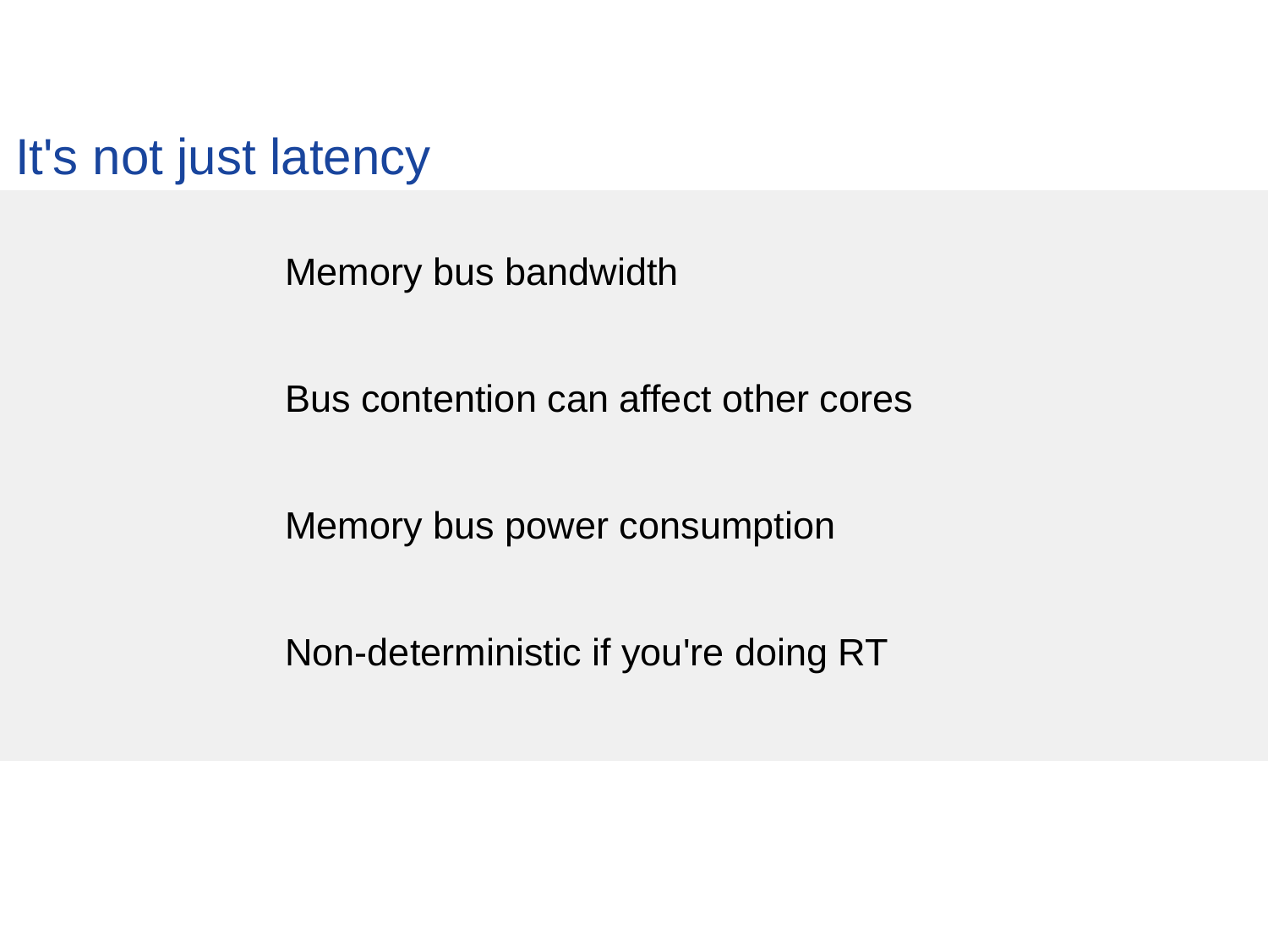It's not just latency

Memory bus bandwidth

Bus contention can affect other cores

Memory bus power consumption

Non-deterministic if you're doing RT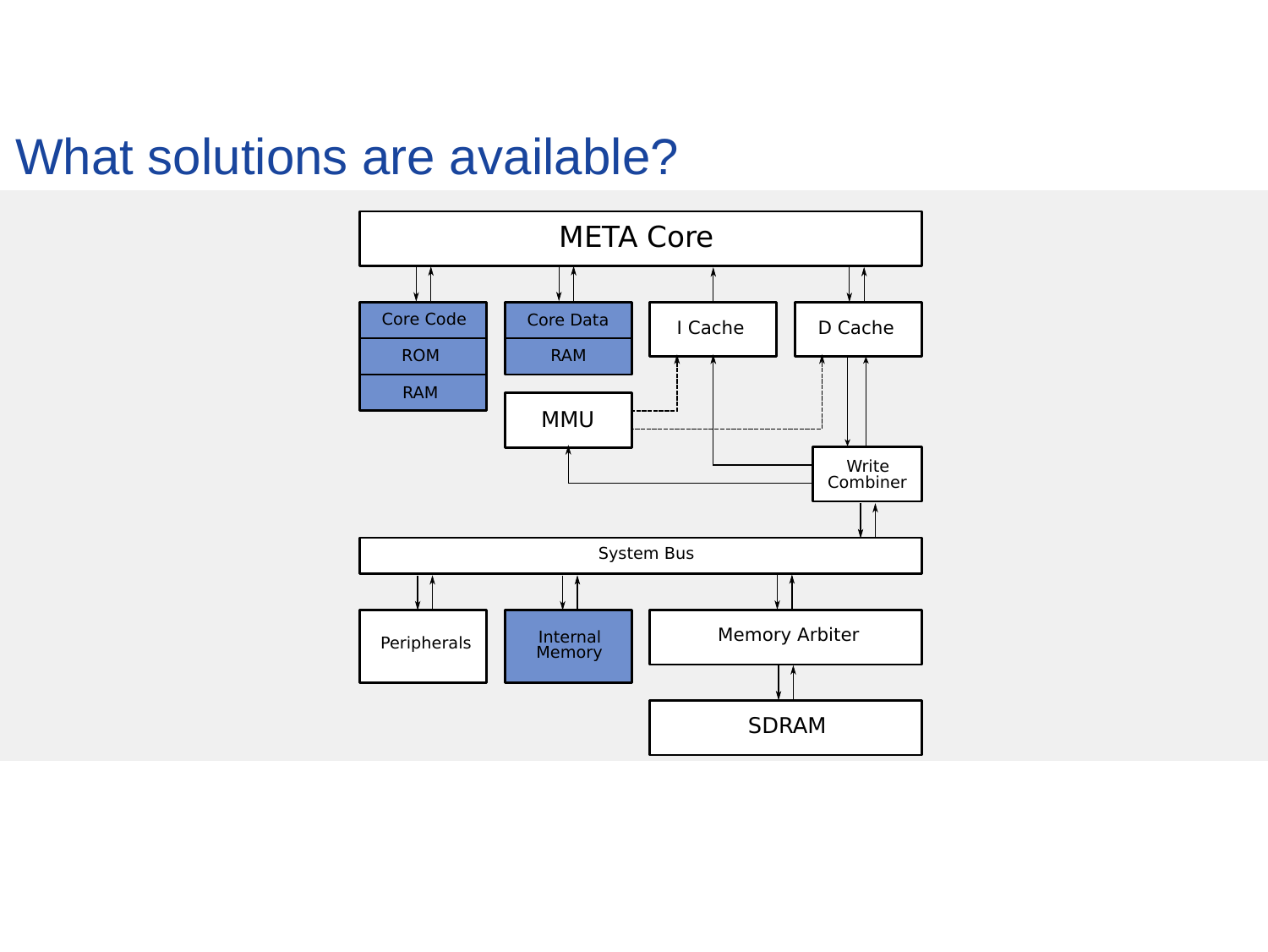#### What solutions are available?

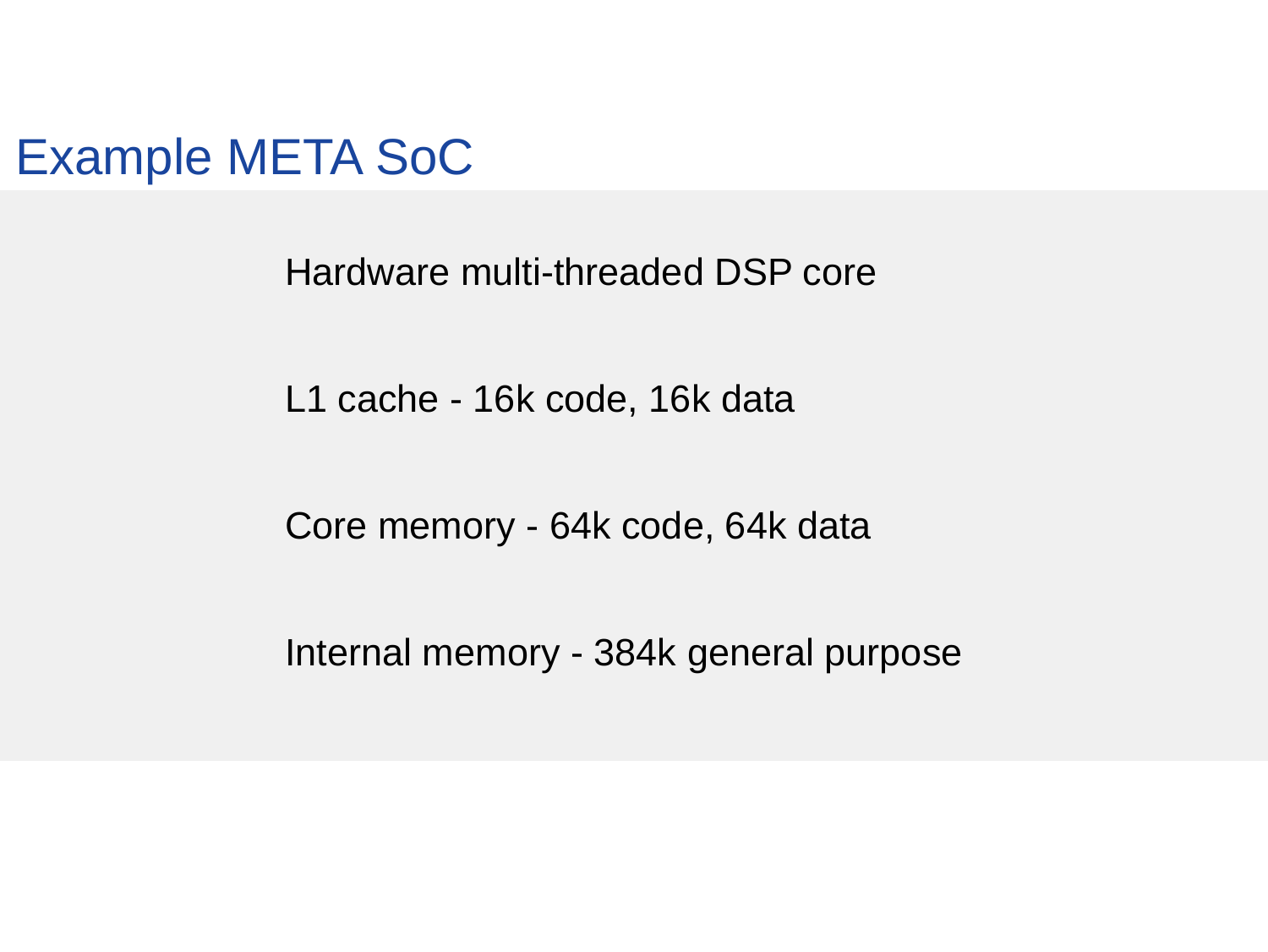Example META SoC

Hardware multi-threaded DSP core

L1 cache - 16k code, 16k data

Core memory - 64k code, 64k data

Internal memory - 384k general purpose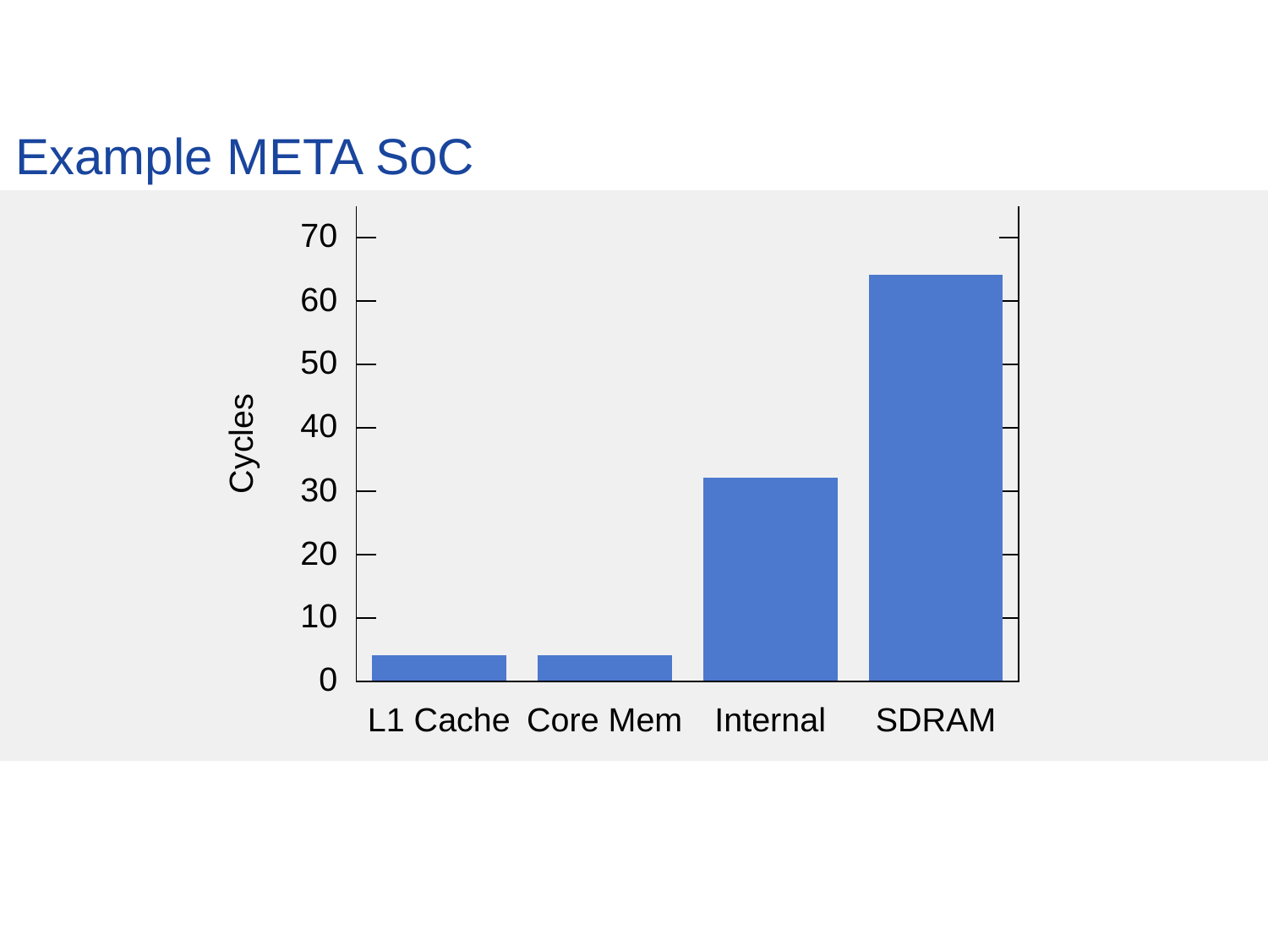## Example META SoC

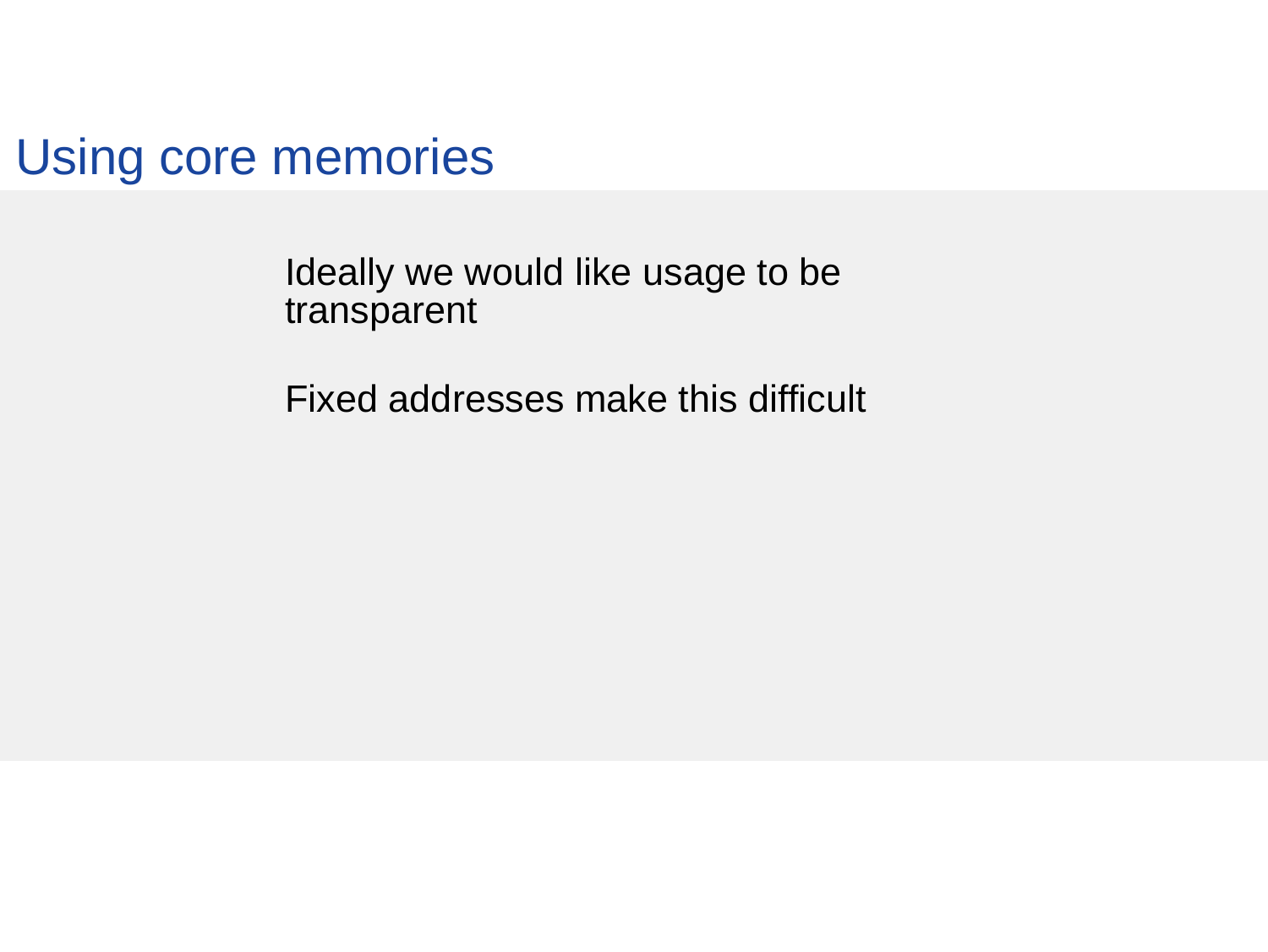Using core memories

Ideally we would like usage to be transparent

Fixed addresses make this difficult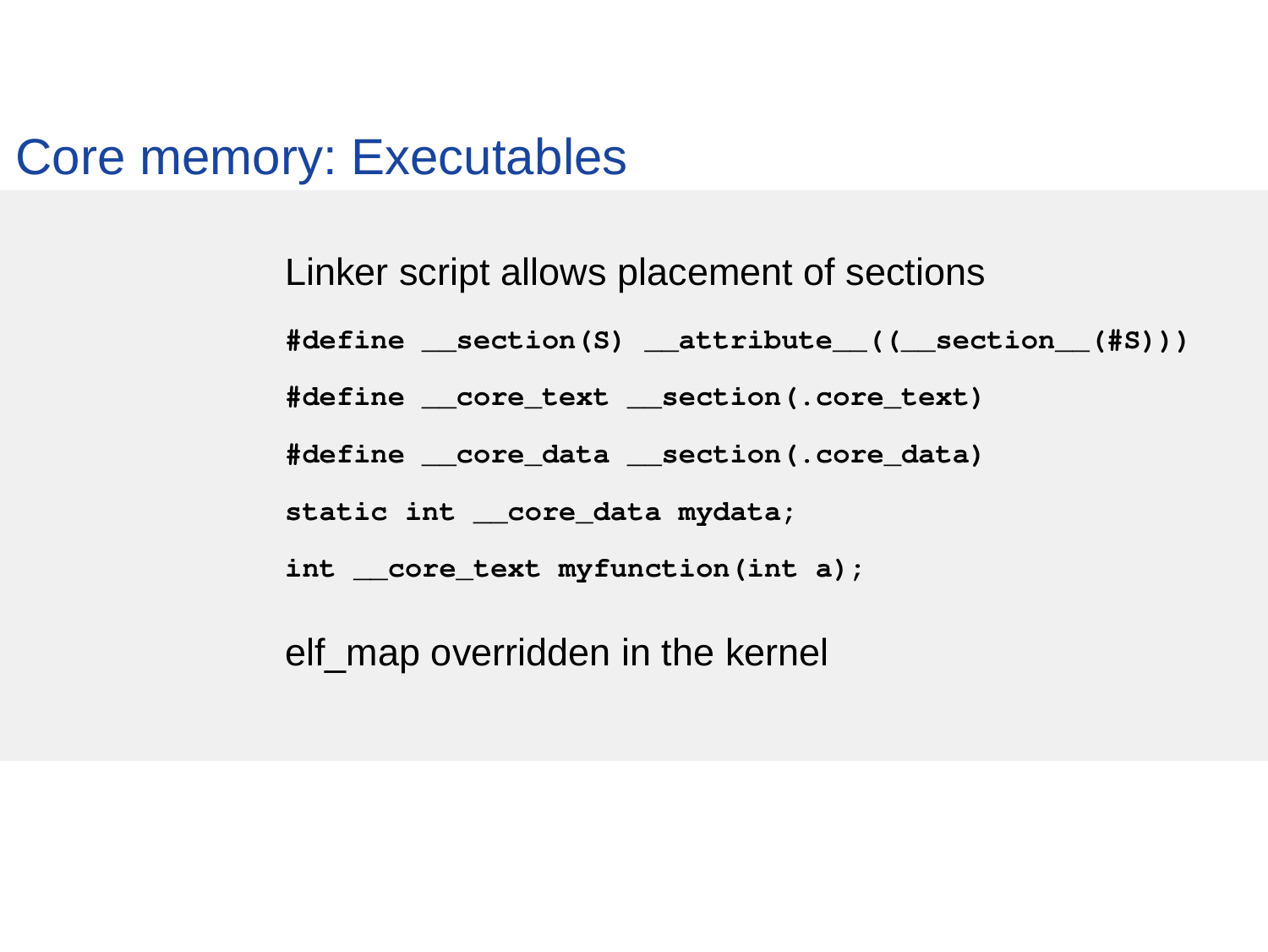#### Core memory: Executables

Linker script allows placement of sections

 $\#define$  section(S) attribute (( section  $(\#S)$ ))

#define \_\_core\_text \_\_section(.core\_text)

#define core data section(.core data)

static int \_\_core\_data mydata;

int core text myfunction(int a);

elf\_map overridden in the kernel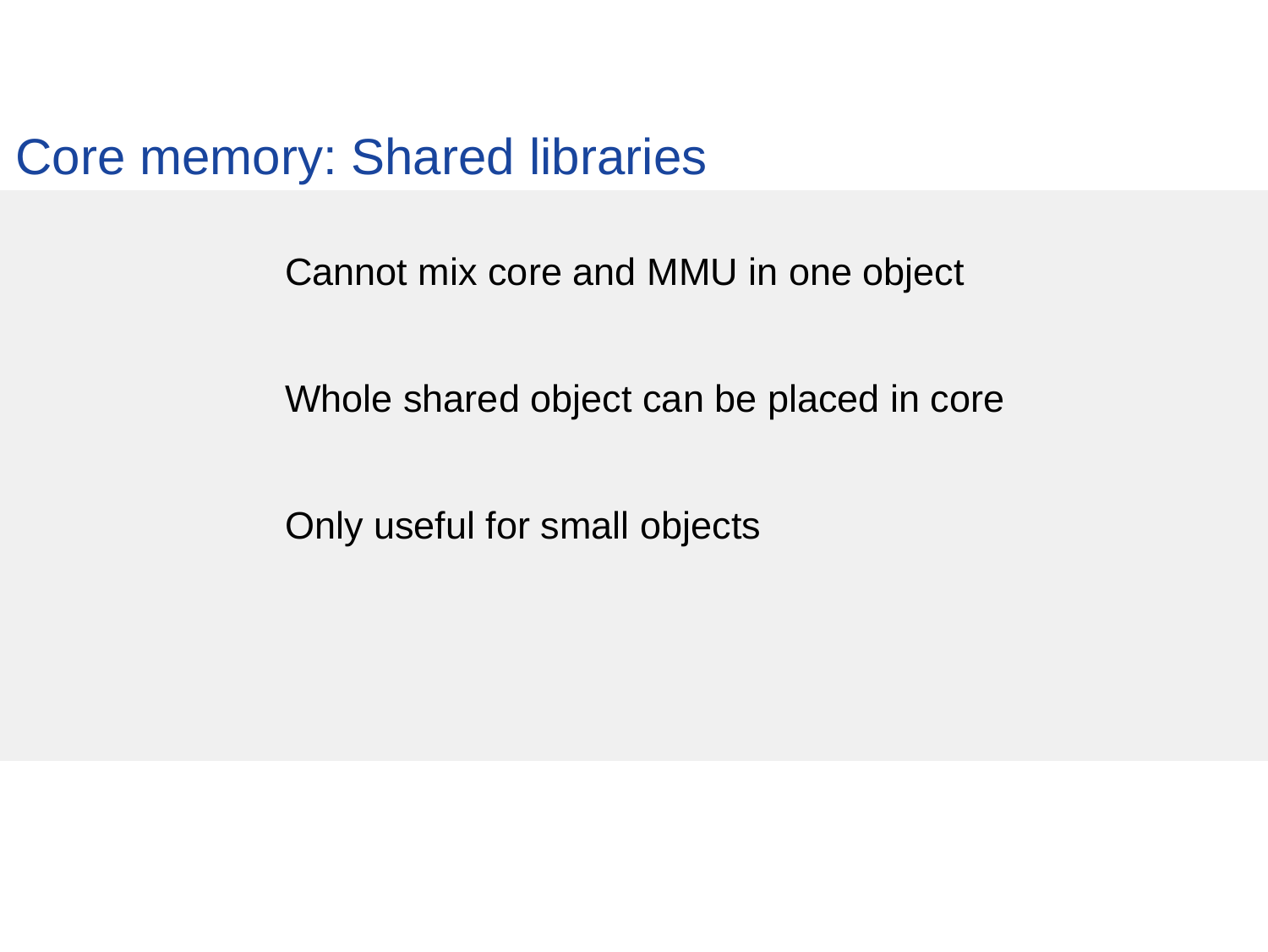Core memory: Shared libraries

Cannot mix core and MMU in one object

Whole shared object can be placed in core

Only useful for small objects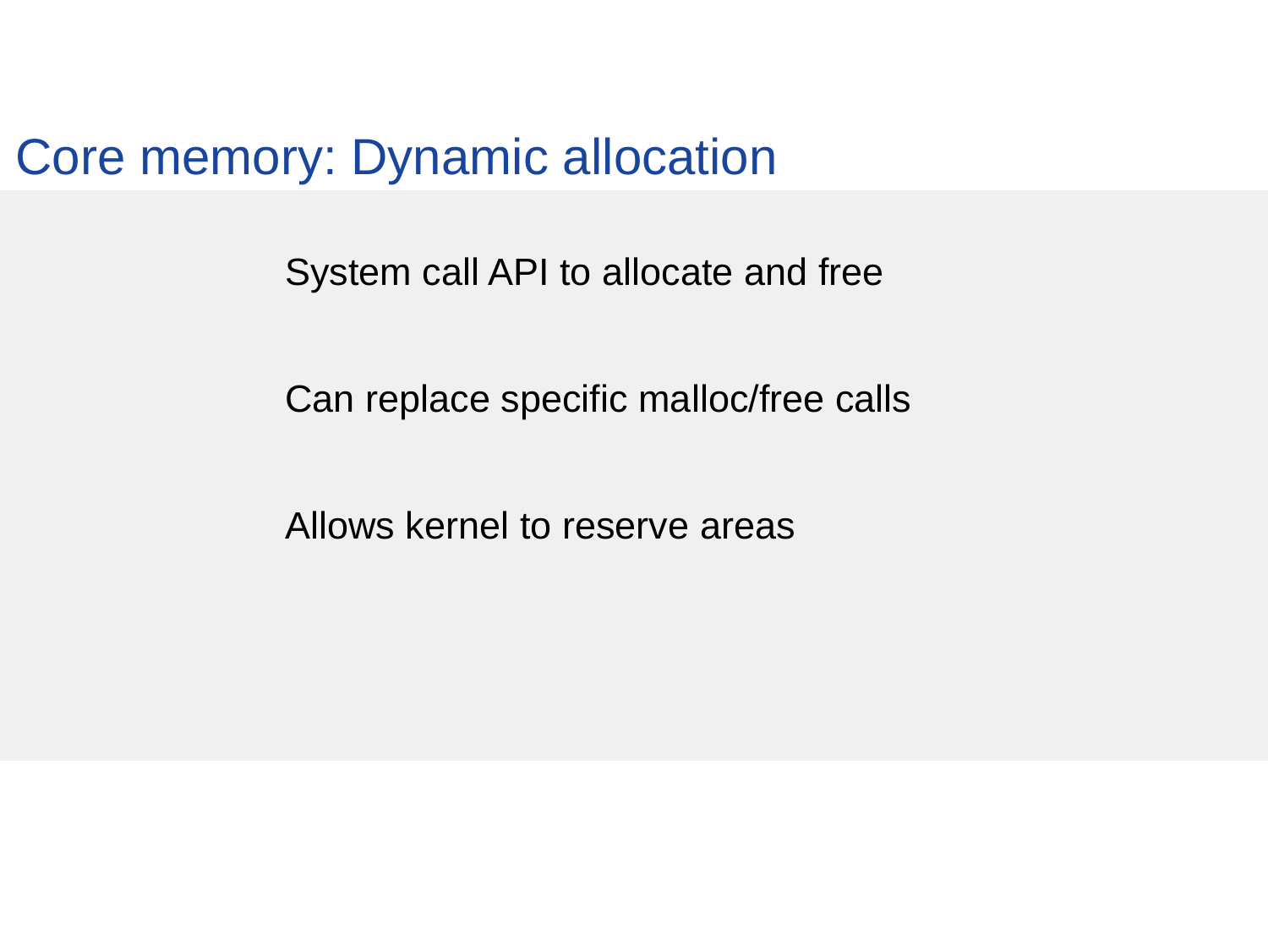Core memory: Dynamic allocation

System call API to allocate and free

Can replace specific malloc/free calls

Allows kernel to reserve areas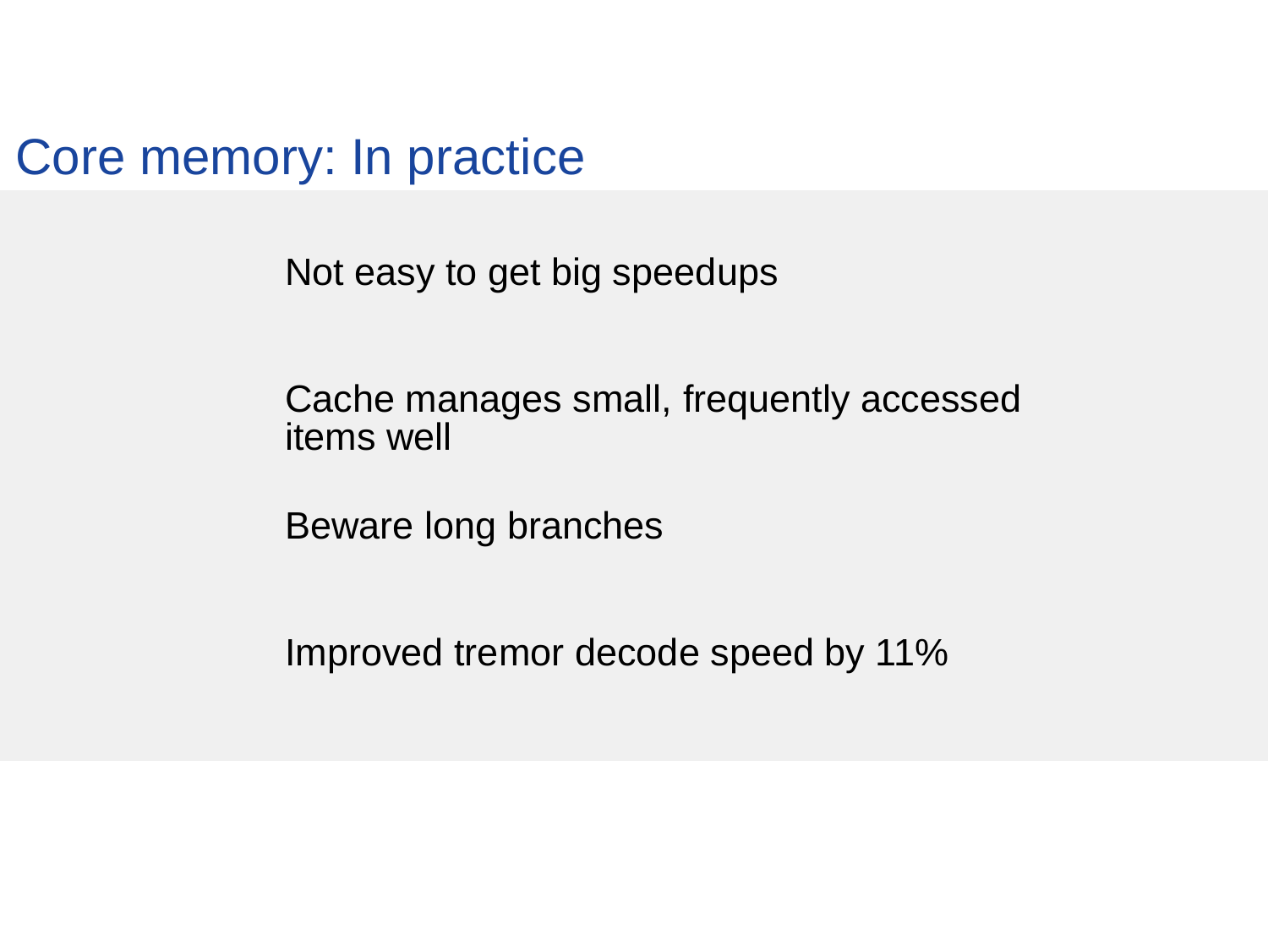Core memory: In practice

Not easy to get big speedups

Cache manages small, frequently accessed items well

Beware long branches

Improved tremor decode speed by 11%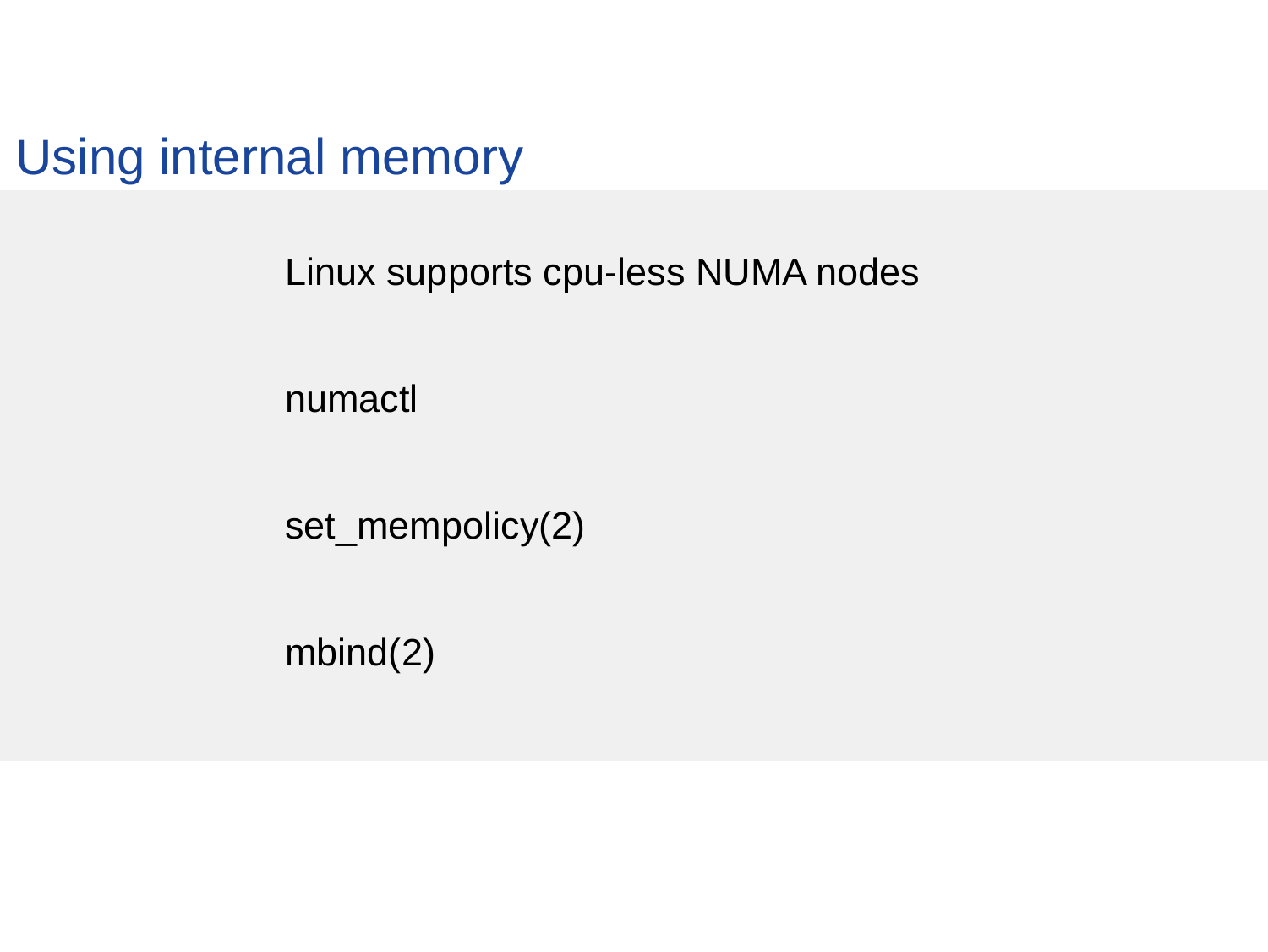Using internal memory

Linux supports cpu-less NUMA nodes

numactl

set\_mempolicy(2)

mbind(2)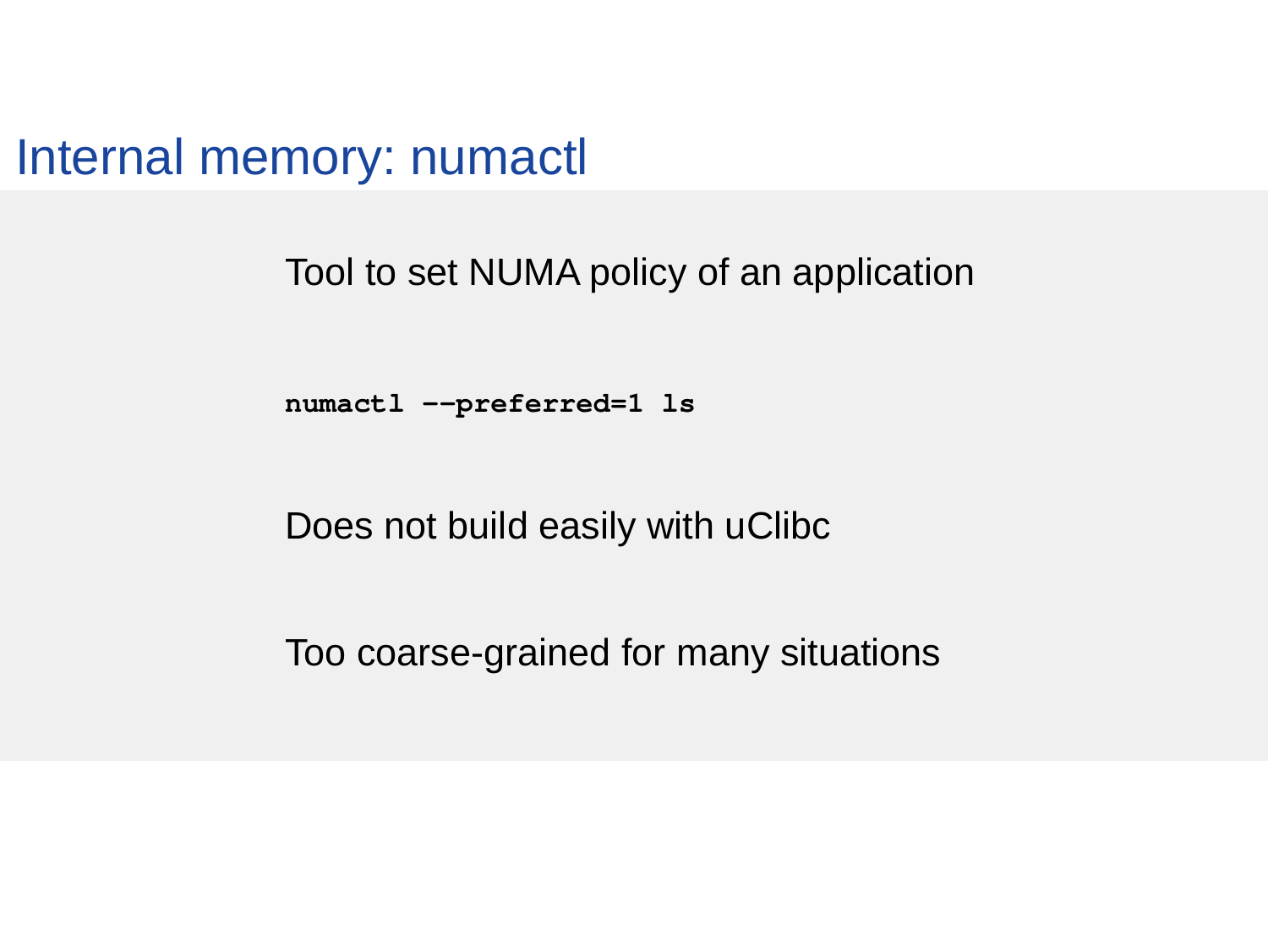Internal memory: numactl

Tool to set NUMA policy of an application

numactl --preferred=1 ls

Does not build easily with uClibc

Too coarse-grained for many situations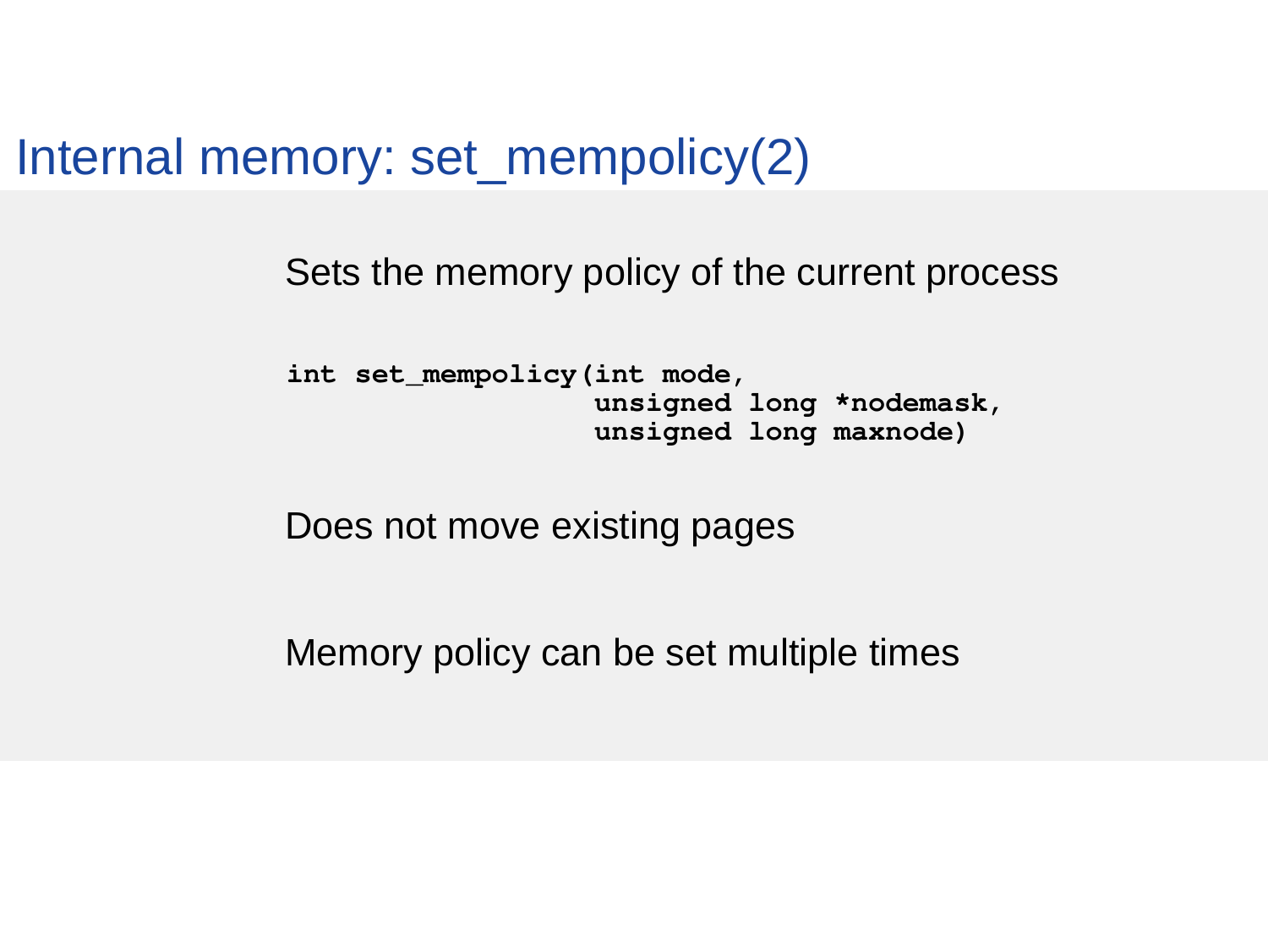Internal memory: set\_mempolicy(2)

Sets the memory policy of the current process

int set mempolicy(int mode, unsigned long \*nodemask, unsigned long maxnode)

Does not move existing pages

Memory policy can be set multiple times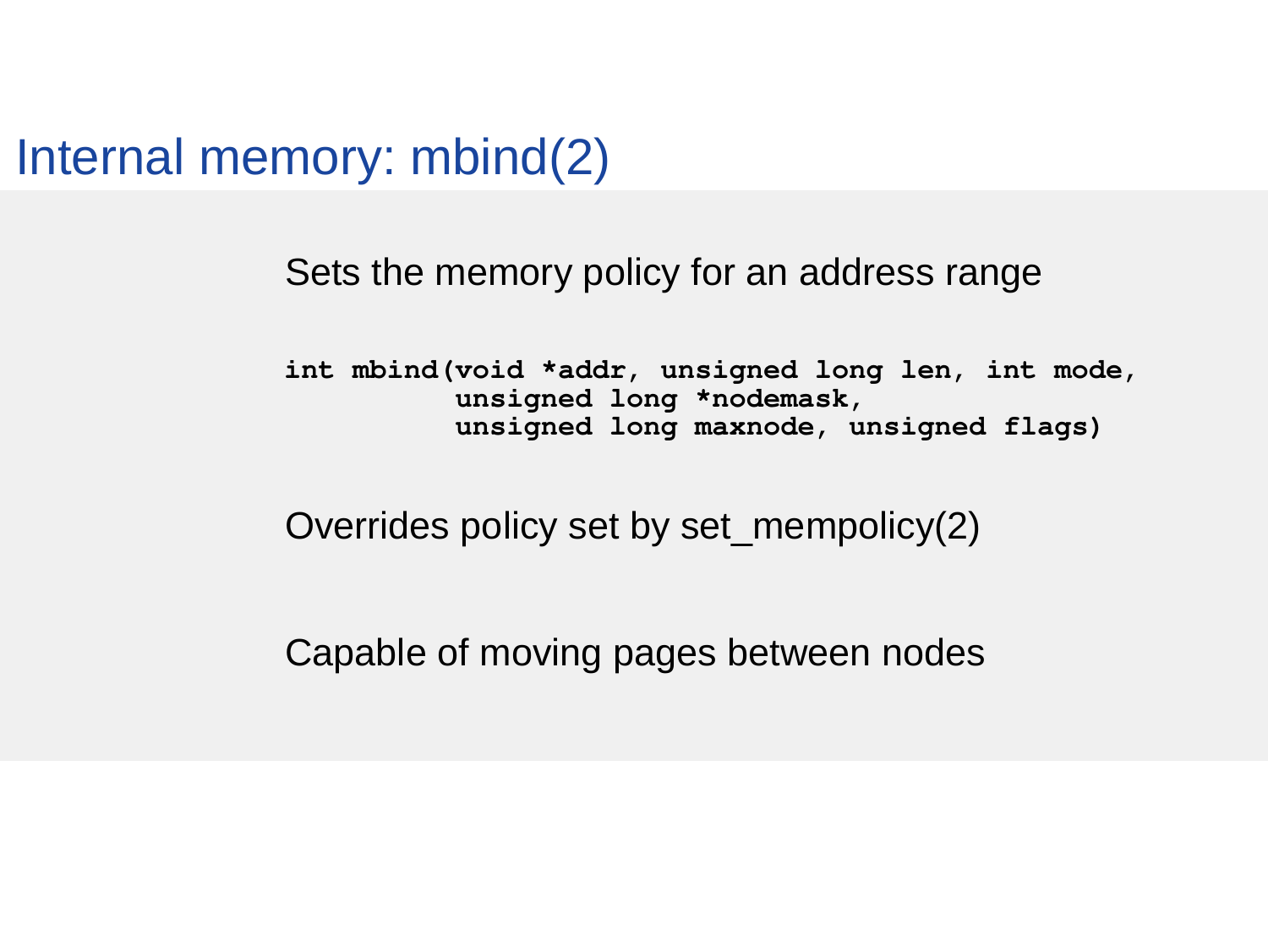Internal memory: mbind(2)

Sets the memory policy for an address range

 int mbind(void \*addr, unsigned long len, int mode, unsigned long \*nodemask, unsigned long maxnode, unsigned flags)

Overrides policy set by set\_mempolicy(2)

Capable of moving pages between nodes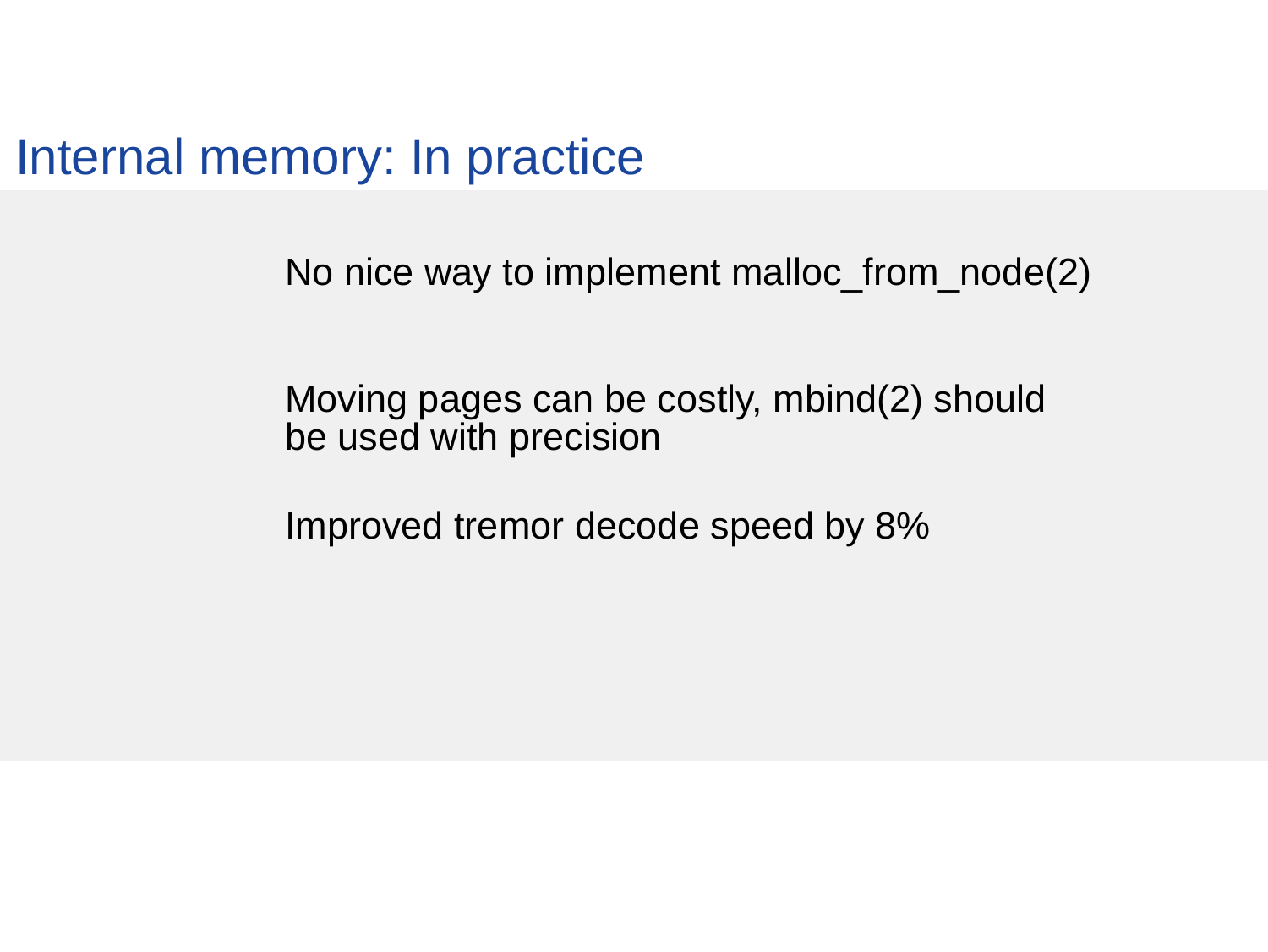Internal memory: In practice

No nice way to implement malloc\_from\_node(2)

Moving pages can be costly, mbind(2) should be used with precision

Improved tremor decode speed by 8%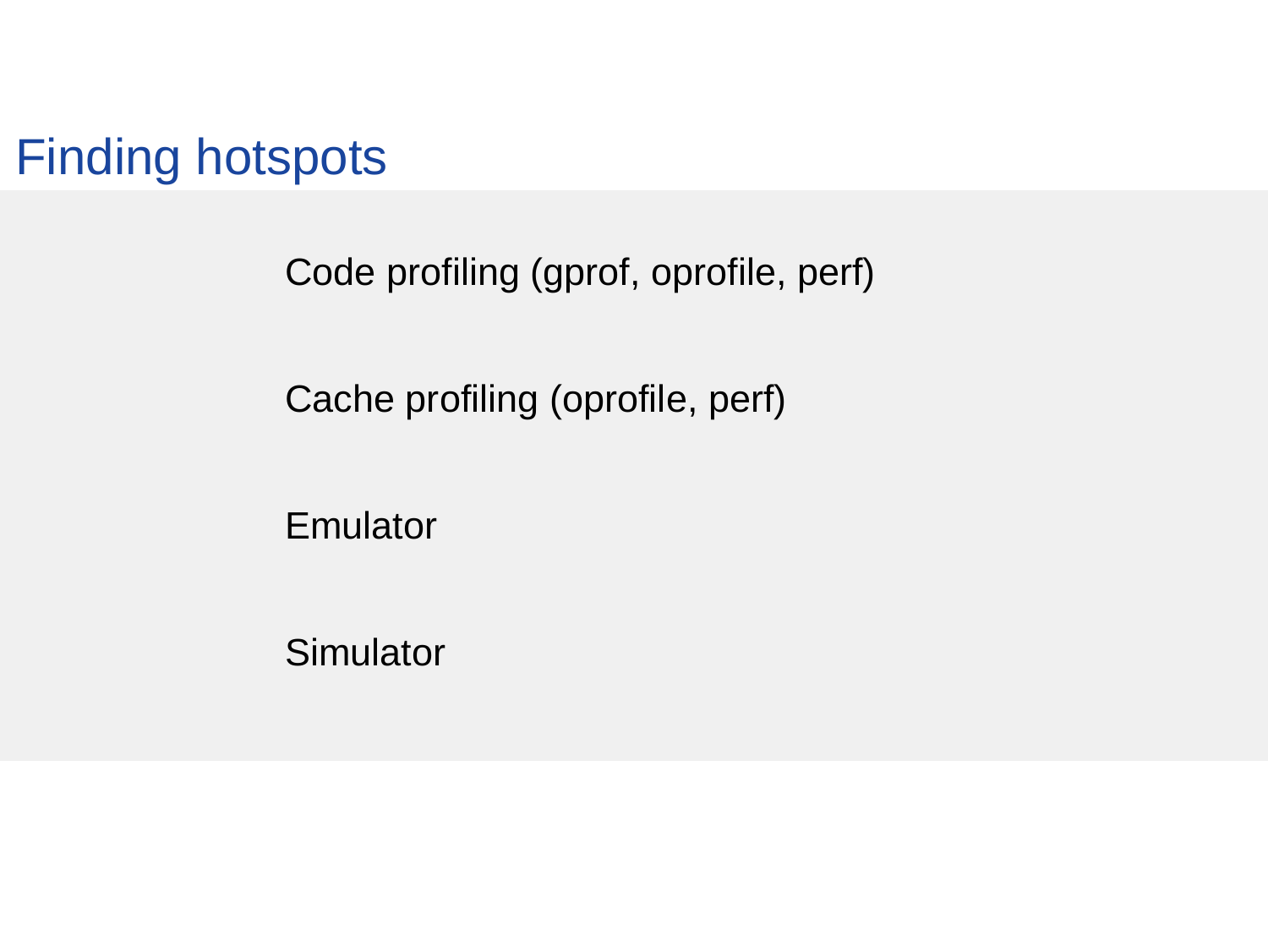

Code profiling (gprof, oprofile, perf)

Cache profiling (oprofile, perf)

Emulator

**Simulator**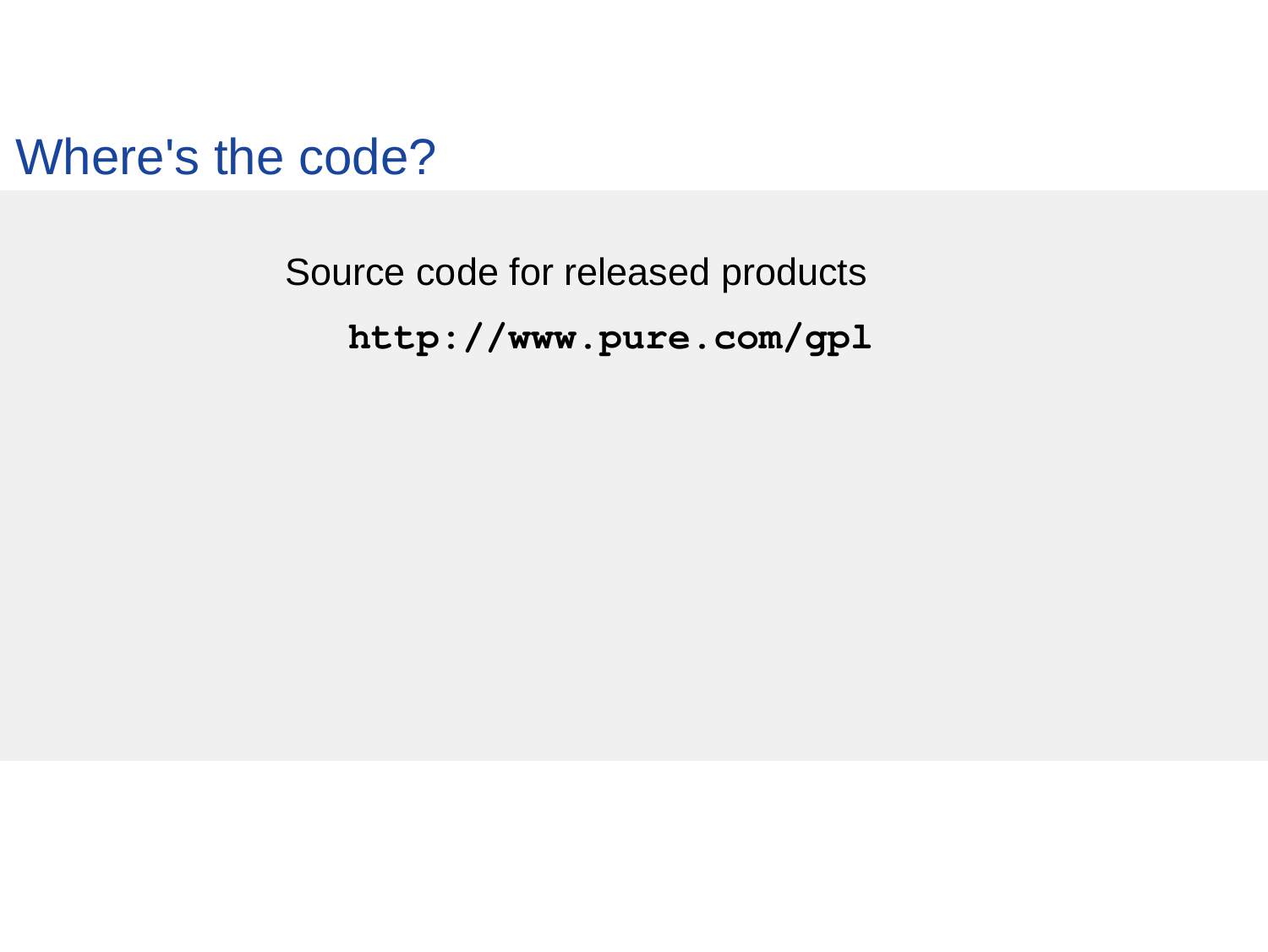Where's the code?

Source code for released products http://www.pure.com/gpl